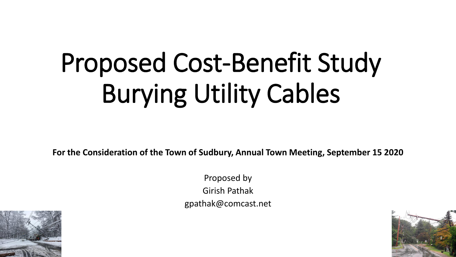# Proposed Cost-Benefit Study Burying Utility Cables

**For the Consideration of the Town of Sudbury, Annual Town Meeting, September 15 2020**

Proposed by Girish Pathak gpathak@comcast.net



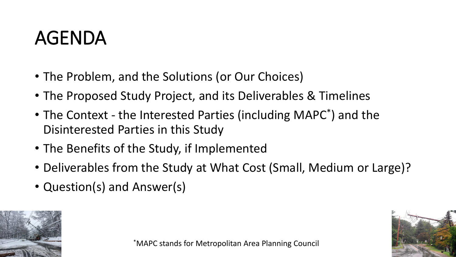### AGENDA

- The Problem, and the Solutions (or Our Choices)
- The Proposed Study Project, and its Deliverables & Timelines
- The Context the Interested Parties (including MAPC\* ) and the Disinterested Parties in this Study
- The Benefits of the Study, if Implemented
- Deliverables from the Study at What Cost (Small, Medium or Large)?
- Question(s) and Answer(s)



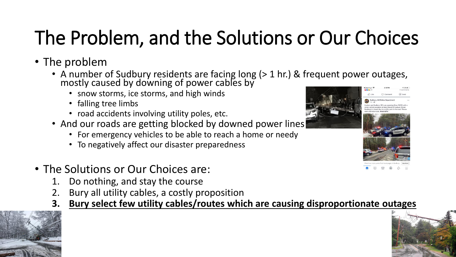# The Problem, and the Solutions or Our Choices

- The problem
	- A number of Sudbury residents are facing long (> 1 hr.) & frequent power outages, mostly caused by downing of power cables by
		- snow storms, ice storms, and high winds
		- falling tree limbs
		- road accidents involving utility poles, etc.
	- And our roads are getting blocked by downed power lines
		- For emergency vehicles to be able to reach a home or needy
		- To negatively affect our disaster preparedness
- The Solutions or Our Choices are:
	- 1. Do nothing, and stay the course
	- Bury all utility cables, a costly proposition
	- **3. Bury select few utility cables/routes which are causing disproportionate outages**





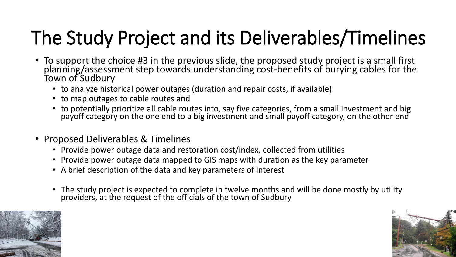# The Study Project and its Deliverables/Timelines

- To support the choice #3 in the previous slide, the proposed study project is a small first planning/assessment step towards understanding cost-benefits of burying cables for the Town of Sudbury
	- to analyze historical power outages (duration and repair costs, if available)
	- to map outages to cable routes and
	- to potentially prioritize all cable routes into, say five categories, from a small investment and big payoff category on the one end to a big investment and small payoff category, on the other end
- Proposed Deliverables & Timelines
	- Provide power outage data and restoration cost/index, collected from utilities
	- Provide power outage data mapped to GIS maps with duration as the key parameter
	- A brief description of the data and key parameters of interest
	- The study project is expected to complete in twelve months and will be done mostly by utility providers, at the request of the officials of the town of Sudbury



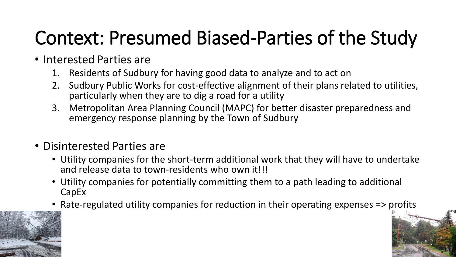## Context: Presumed Biased-Parties of the Study

- Interested Parties are
	- 1. Residents of Sudbury for having good data to analyze and to act on
	- 2. Sudbury Public Works for cost-effective alignment of their plans related to utilities, particularly when they are to dig a road for a utility
	- 3. Metropolitan Area Planning Council (MAPC) for better disaster preparedness and emergency response planning by the Town of Sudbury
- Disinterested Parties are
	- Utility companies for the short-term additional work that they will have to undertake and release data to town-residents who own it!!!
	- Utility companies for potentially committing them to a path leading to additional CapEx
	- Rate-regulated utility companies for reduction in their operating expenses => profits

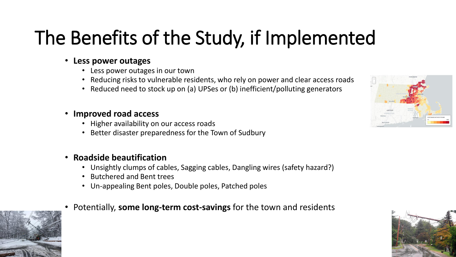# The Benefits of the Study, if Implemented

#### • **Less power outages**

- Less power outages in our town
- Reducing risks to vulnerable residents, who rely on power and clear access roads
- Reduced need to stock up on (a) UPSes or (b) inefficient/polluting generators

#### • **Improved road access**

- Higher availability on our access roads
- Better disaster preparedness for the Town of Sudbury

#### • **Roadside beautification**

- Unsightly clumps of cables, Sagging cables, Dangling wires (safety hazard?)
- Butchered and Bent trees
- Un-appealing Bent poles, Double poles, Patched poles
- Potentially, **some long-term cost-savings** for the town and residents





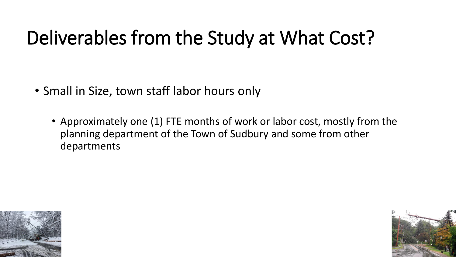### Deliverables from the Study at What Cost?

- Small in Size, town staff labor hours only
	- Approximately one (1) FTE months of work or labor cost, mostly from the planning department of the Town of Sudbury and some from other departments